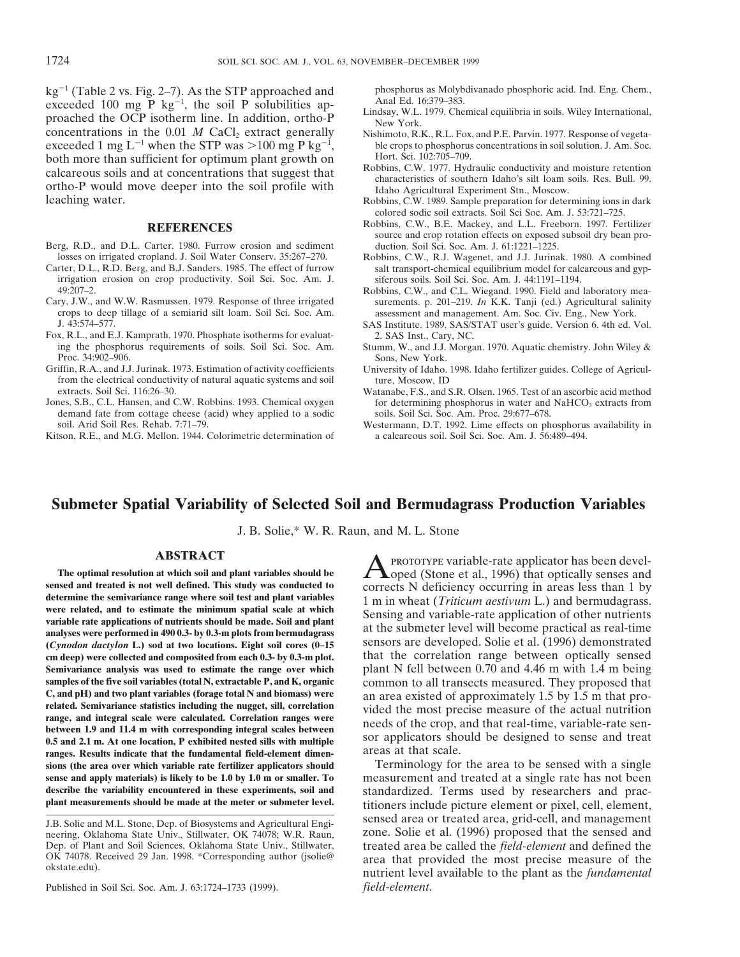kg<sup>-1</sup> (Table 2 vs. Fig. 2–7). As the STP approached and phosphorus as Molybdivanado phosphoric acid. Ind. Eng. Chem., 2 (See al. 10 mg P kg<sup>-1</sup>, the soil P solubilities aphranel Ed. 16:379–383. Lindsay, W.L. 1979. Chemic proached the OCP isotherm line. In addition, ortho-P<br>concentrations in the 0.01 M CaCl<sub>2</sub> extract generally Nishimoto, R.K., R.L. Fox, and P.E. Parvin. 1977. Response of vegetaconcentrations in the  $0.01$  *M* CaCl<sub>2</sub> extract generally both more than sufficient for optimum plant growth on Hort. Sci. 102:705–709.<br>
Robbins, C.W. 1977. Hydraulic conductivity and moisture retention calcareous soils and at concentrations that suggest that<br>ortho-P would move deeper into the soil profile with<br>leaching water.<br>Robbins, C.W. 1999. Sample preparation for determining ions in dark<br>Robbins, C.W. 1989. Sample p

- Berg, R.D., and D.L. Carter. 1980. Furrow erosion and sediment losses on irrigated cropland. J. Soil Water Conserv. 35:267-270.
- irrigation erosion on crop productivity. Soil Sci. Soc. Am. J. siferous soils. Soil Sci. Soc. Am. J. 44:1191–1194.<br>Robbins C.W. and C.L. Wiegand 1990 Field and
- crops to deep tillage of a semiarid silt loam. Soil Sci. Soc. Am. assessment and management. Am. Soc. Civ. Eng., New York.<br>
SAS Institute, 1989, SAS/STAT user's guide. Version 6, 4th ed. V
- Fox, R.L., and E.J. Kamprath. 1970. Phosphate isotherms for evaluating the phosphorus requirements of soils. Soil Sci. Soc. Am. Stumm, W., and J.J. Morgan. 1970. Aquatic chemistry. John Wiley &<br>Proc. 34:902-906. Sons. New York.
- Griffin, R.A., and J.J. Jurinak. 1973. Estimation of activity coefficients University of Idaho. 1998. Idaho fertilizer guides. College of Agriculfrom the electrical conductivity of natural aquatic systems and soil ture, Moscow, ID extracts. Soil Sci. 116:26–30. Watanabe, F.S., and S
- demand fate from cottage cheese (acid) whey applied to a sodic soil. Arid Soil Res. Rehab. 7:71–79.
- Kitson, R.E., and M.G. Mellon. 1944. Colorimetric determination of

- 
- exceeded 1 mg L<sup>-1</sup> when the STP was >100 mg P kg<sup>-1</sup>, ble crops to phosphorus concentrations in soil solution. J. Am. Soc.
	-
	- Robbins, C.W. 1989. Sample preparation for determining ions in dark colored sodic soil extracts. Soil Sci Soc. Am. J. 53:721–725.
	- REFERENCES Robbins, C.W., B.E. Mackey, and L.L. Freeborn. 1997. Fertilizer source and crop rotation effects on exposed subsoil dry bean pro-<br>duction. Soil Sci. Soc. Am. J. 61:1221-1225.
- losses on irrigated cropland. J. Soil Water Conserv. 35:267–270. Robbins, C.W., R.J. Wagenet, and J.J. Jurinak. 1980. A combined salt transport-chemical equilibrium model for calcareous and gyp-
- Robbins, C.W., and C.L. Wiegand. 1990. Field and laboratory mea-Cary, J.W., and W.W. Rasmussen. 1979. Response of three irrigated surements. p. 201–219. *In* K.K. Tanji (ed.) Agricultural salinity crops to deep tillage of a semiarid silt loam. Soil Sci. Soc. Am. assessment and manageme
	- SAS Institute. 1989. SAS/STAT user's guide. Version 6. 4th ed. Vol.<br>2. SAS Inst., Carv. NC.
	- Sons, New York.
	-
- extracts. Soil Sci. 116:26–30. Watanabe, F.S., and S.R. Olsen. 1965. Test of an ascorbic acid method<br>Jones, S.B., C.L. Hansen, and C.W. Robbins. 1993. Chemical oxygen for determining phosphorus in water and NaHCO<sub>3</sub> extrac for determining phosphorus in water and NaHCO<sub>3</sub> extracts from soils. Soil Sci. Soc. Am. Proc. 29:677–678.
	- Westermann, D.T. 1992. Lime effects on phosphorus availability in a calcareous soil. Soil Sci. Soc. Am. J. 56:489-494.

# **Submeter Spatial Variability of Selected Soil and Bermudagrass Production Variables**

J. B. Solie,\* W. R. Raun, and M. L. Stone

sensed and treated is not well defined. This study was conducted to<br>determine the semivariance range where soil test and plant variables<br>were related, and to estimate the minimum spatial scale at which<br>variable rate applic **(***Cynodon dactylon* **L.) sod at two locations. Eight soil cores (0–15** sensors are developed. Solie et al. (1996) demonstrated **cm deep) were collected and composited from each 0.3- by 0.3-m plot.** that the correlation range between optically sensed **Semivariance analysis was used to estimate the range over which** plant N fell between 0.70 and 4.46 m with 1.4 m being **samples of the five soil variables (total N, extractable P, and K, organic** common to all transects measured. They proposed that **C**, and pH) and two plant variables (forage total N and biomass) were a proposed of approxi C, and pH) and two plant variables (forage total N and biomass) were<br>related. Semivariance statistics including the nugget, sill, correlation<br>range, and integral scale were calculated. Correlation ranges were<br>between 1.9 a **sions (the area over which variable rate fertilizer applicators should** Terminology for the area to be sensed with a single

Published in Soil Sci. Soc. Am. J. 63:1724–1733 (1999). *field-element*.

**ABSTRACT**<br>The optimal resolution at which soil and plant variables should be<br>a compact of the compact of the contract of the compact of the compact of the contract of the contract of the contract of the contract of the co

**sense and apply materials) is likely to be 1.0 by 1.0 m or smaller. To** measurement and treated at a single rate has not been **describe the variability encountered in these experiments, soil and** standardized. Terms used by researchers and prac-<br> **plant measurements should be made at the meter or submeter level.** titioners include picture element titioners include picture element or pixel, cell, element, sensed area or treated area, grid-cell, and management J.B. Solie and M.L. Stone, Dep. of Biosystems and Agricultural Engineering, Oklahoma State Univ., Stillwater, OK 74078; W.R. Raun, zone. Solie et al. (1996) proposed that the sensed and Dep. of Plant and Soil Sciences, Oklahoma State Univ., Stillwater, the sensed in the sense of Plant and Dep. of Plant and Soil Sciences, Oklahoma State Univ., Stillwater, treated area be called the *field-element* and defined the OK 74078. Received 29 Jan. 1998. \*Corresponding author (jsolie@ area that provided the most precise measure of the okstate.edu). nutrient level available to the plant as the *fundamental*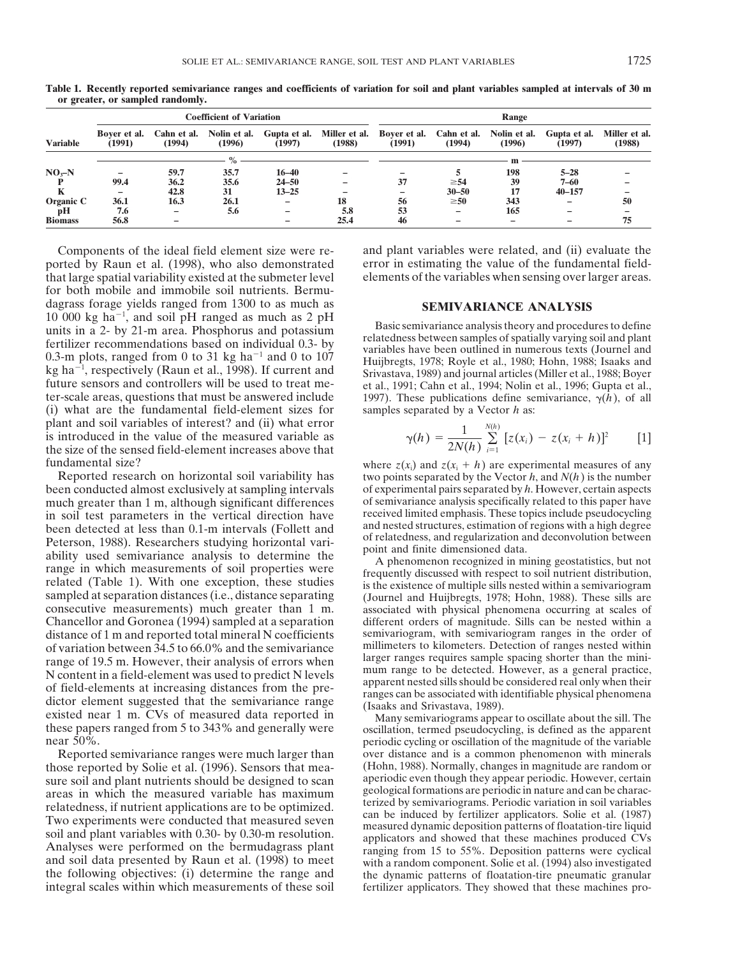|                 |                          |                          | <b>Coefficient of Variation</b> |                        | Range                   |                        |                       |                        |                        |                         |
|-----------------|--------------------------|--------------------------|---------------------------------|------------------------|-------------------------|------------------------|-----------------------|------------------------|------------------------|-------------------------|
| <b>Variable</b> | Bover et al.<br>(1991)   | Cahn et al.<br>(1994)    | Nolin et al.<br>(1996)          | Gupta et al.<br>(1997) | Miller et al.<br>(1988) | Bover et al.<br>(1991) | Cahn et al.<br>(1994) | Nolin et al.<br>(1996) | Gupta et al.<br>(1997) | Miller et al.<br>(1988) |
|                 |                          |                          | $\%$                            |                        |                         |                        |                       | m                      |                        |                         |
| $NOx-N$         | $\overline{\phantom{0}}$ | 59.7                     | 35.7                            | $16 - 40$              |                         |                        |                       | 198                    | $5 - 28$               |                         |
|                 | 99.4                     | 36.2                     | 35.6                            | $24 - 50$              |                         | 37                     | $\geq 54$             | 39                     | $7 - 60$               |                         |
|                 | -                        | 42.8                     | 31                              | $13 - 25$              |                         |                        | $30 - 50$             | 17                     | $40 - 157$             |                         |
| Organic C       | 36.1                     | 16.3                     | 26.1                            | -                      | 18                      | 56                     | $\geq 50$             | 343                    |                        | 50                      |
| pH              | 7.6                      | $\overline{\phantom{0}}$ | 5.6                             | -                      | 5.8                     | 53                     | -                     | 165                    |                        |                         |
| <b>Biomass</b>  | 56.8                     | -                        |                                 |                        | 25.4                    | 46                     |                       |                        |                        | 75                      |

**Table 1. Recently reported semivariance ranges and coefficients of variation for soil and plant variables sampled at intervals of 30 m or greater, or sampled randomly.**

ported by Raun et al. (1998), who also demonstrated error in estimating the value of the fundamental field-<br>that large spatial variability existed at the submeter level elements of the variables when sensing over larger ar that large spatial variability existed at the submeter level for both mobile and immobile soil nutrients. Bermudagrass forage yields ranged from 1300 to as much as **SEMIVARIANCE ANALYSIS** 10 000 kg ha<sup>-1</sup>, and soil pH ranged as much as 2 pH 10 000 kg ha<sup>-1</sup>, and soil pH ranged as much as 2 pH<br>units in a 2- by 21-m area. Phosphorus and potassium<br>fertilizer recommendations based on individual 0.3- by<br>0.3-m plots, ranged from 0 to 31 kg ha<sup>-1</sup> and 0 to 107<br>kg h kg ha<sup>-1</sup>, respectively (Raun et al., 1998). If current and<br>future sensors and controllers will be used to treat me-<br>et al., 1991; Cahn et al., 1994; Nolin et al., 1996; Gupta et al., ter-scale areas, questions that must be answered include 1997). These publications define semivariance,  $\gamma(h)$ , of all (i) what are the fundamental field-element sizes for samples separated by a Vector h as: (i) what are the fundamental field-element sizes for plant and soil variables of interest? and (ii) what error is introduced in the value of the measured variable as the size of the sensed field-element increases above that

been conducted almost exclusively at sampling intervals of experimental pairs separated by *h*. However, certain aspects much greater than 1 m, although significant differences of semivariance analysis specifically related much greater than 1 m, although significant differences of semivariance analysis specifically related to this paper have<br>in soil test parameters in the vertical direction have received limited emphasis. These topics includ in soil test parameters in the vertical direction have<br>
been detected at less than 0.1-m intervals (Follett and<br>
Peterson, 1988). Researchers studying horizontal vari-<br>
ability used semivariance analysis to determine the<br> consecutive measurements) much greater than 1 m. associated with physical phenomena occurring at scales of Chancellor and Goronea (1994) sampled at a separation different orders of magnitude. Sills can be nested within a distance of 1 m and reported total mineral N coefficients semivariogram, with semivariogram ranges in the order of of variation between 34.5 to 66.0% and the semivariance millimeters to kilometers. Detection of ranges nest of variation between 34.5 to 66.0% and the semivariance millimeters to kilometers. Detection of ranges nested within<br>range of 19.5 m. However, their analysis of errors when larger ranges requires sample spacing shorter tha range of 19.5 m. However, their analysis of errors when<br>
N content in a field-element was used to predict N levels<br>
of field-elements at increasing distances from the pre-<br>
dictor element suggested that the semivariance ra

those reported by Solie et al. (1996). Sensors that mea-<br>sure soil and plant nutrients should be designed to scan aperiodic even though they appear periodic. However, certain sure soil and plant nutrients should be designed to scan<br>areas in which the measured variable has maximum<br>relatedness, if nutrient applications are to be optimized.<br>Two experiments were conducted that measured seven<br>soil a the following objectives: (i) determine the range and the dynamic patterns of floatation-tire pneumatic granular integral scales within which measurements of these soil fertilizer applicators. They showed that these machines pro-

Components of the ideal field element size were re- and plant variables were related, and (ii) evaluate the

$$
\gamma(h) = \frac{1}{2N(h)} \sum_{i=1}^{N(h)} [z(x_i) - z(x_i + h)]^2
$$
 [1]

fundamental size?<br>Reported research on horizontal soil variability has two points separated by the Vector *h*, and  $N(h)$  is the number two points separated by the Vector  $h$ , and  $N(h)$  is the number

near 50%. Reported semivariance ranges were much larger than over distance and is a common phenomenon with minerals ose reported by Solie et al. (1996). Sensors that mea-<br>(Hohn, 1988). Normally, changes in magnitude are random or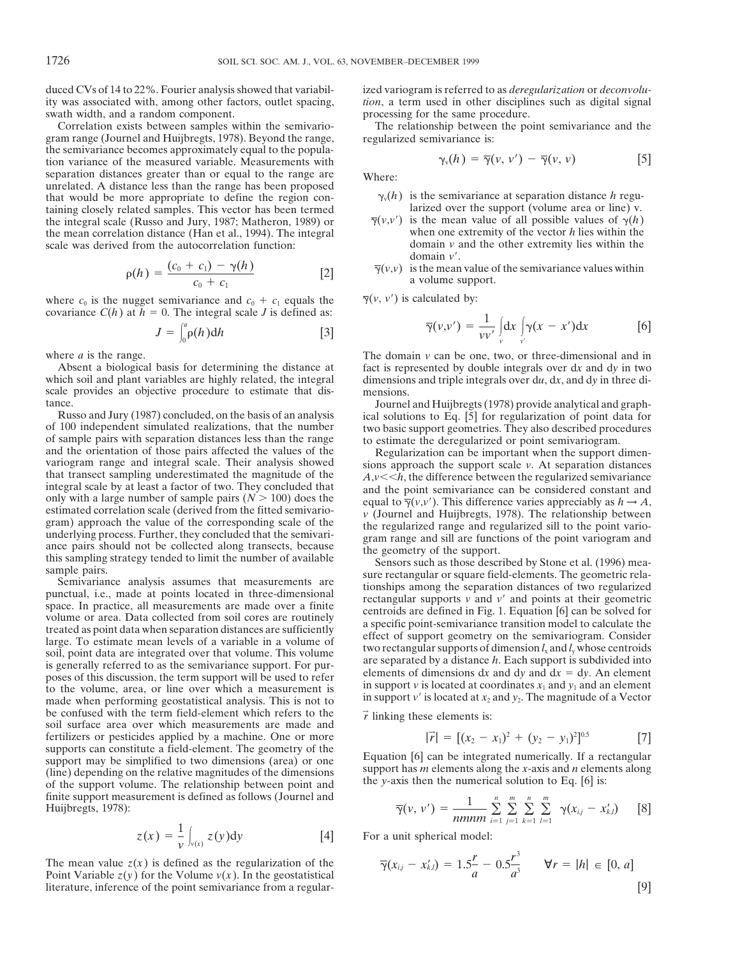duced CVs of 14 to 22%. Fourier analysis showed that variabil-<br>ity was associated with, among other factors, outlet spacing, *ion*, a term used in other disciplines such as digital signal swath width, and a random component.<br> **EXECUTE:** processing for the same procedure.<br> **EXECUTE:** Processing for the same procedure.<br> **EXECUTE:** Processing for the same procedure.

gram range (Journel and Huijbregts, 1978). Beyond the range, the semivariance becomes approximately equal to the population variance of the measured variable. Measurements with separation distances greater than or equal to the range are Where: unrelated. A distance less than the range has been proposed that would be more appropriate to define the region con-<br>taining closely related samples. This vector has been termed<br>the integral scale (Russo and Jury, 1987; Matheron, 1989) or  $\overline{\gamma}(v,v')$  is the mean value of all possi the integral scale (Russo and Jury, 1987; Matheron, 1989) or  $\overline{\gamma}(v,v')$  is the mean value of all possible values of  $\gamma(h)$ <br>the mean correlation distance (Han et al., 1994). The integral when one extremity of the vector the mean correlation distance (Han et al., 1994). The integral when one extremity of the vector  $h$  lies within the scale was derived from the autocorrelation function: domain  $v$  and the other extremity lies within the scale was derived from the autocorrelation function:

$$
\rho(h) = \frac{(c_0 + c_1) - \gamma(h)}{c_0 + c_1} \tag{2}
$$

where  $c_0$  is the nugget semivariance and  $c_0 + c_1$  equals the  $\overline{\gamma}(v, v')$  is calculated by: covariance  $C(h)$  at  $h = 0$ . The integral scale *J* is defined as:

$$
J = \int_0^a \rho(h) dh \qquad [3]
$$

scale provides an objective procedure to estimate that dis-<br>
Sournel and Huijbregts (1978) provide analytical and graph-<br>  $J$ ournel and Huijbregts (1978) provide analytical and graph-

of 100 independent simulated realizations, that the number<br>of sample pairs with separation distances less than the range<br>to estimate the deregularized or point semivation grams<br>and the orientation of those pairs affected

be confused with the term field-element which refers to the  $\vec{r}$  linking these elements is: soil surface area over which measurements are made and fertilizers or pesticides applied by a machine. One or more supports can constitute a field-element. The geometry of the supports can constitute a held-element. The geometry of the<br>support may be simplified to two dimensions (area) or one<br>(line) depending on the relative magnitudes of the dimensions<br>of the support has *m* elements along the finite support measurement is defined as follows (Journel and  $\overline{\gamma}(v, v') = \frac{1}{\overline{\gamma}(v, v')}$ 

$$
z(x) = \frac{1}{v} \int_{v(x)} z(y) dy
$$
 [4]

The mean value  $z(x)$  is defined as the regularization of the Point Variable  $z(y)$  for the Volume  $v(x)$ . In the geostatistical literature, inference of the point semivariance from a regular*tion*, a term used in other disciplines such as digital signal

The relationship between the point semivariance and the regularized semivariance is:

$$
\gamma_{\nu}(h) = \overline{\gamma}(\nu, \nu') - \overline{\gamma}(\nu, \nu) \qquad [5]
$$

- 
- domain  $v'$ .
- $\overline{\gamma}(v,v)$  is the mean value of the semivariance values within a volume support.

$$
\overline{\gamma}(v, v') = \frac{1}{vv'} \int_{v}^{a} \rho(h) dh
$$
 [3] [3]

where *a* is the range.<br>Absent a biological basis for determining the distance at The domain *v* can be one, two, or three-dimensional and in two Absent a biological basis for determining the distance at fact is represente Absent a biological basis for determining the distance at fact is represented by double integrals over d*x* and dy in two which soil and plant variables are highly related, the integral dimensions and triple integrals over dimensions and triple integrals over du, dx, and dy in three di-

Russo and Jury (1987) concluded, on the basis of an analysis ical solutions to Eq. [5] for regularization of point data for of 100 independent simulated realizations, that the number wo basic support geometries. They also

$$
|\vec{r}| = [(x_2 - x_1)^2 + (y_2 - y_1)^2]^{0.5}
$$
 [7]

$$
\overline{\gamma}(v, v') = \frac{1}{nmnm} \sum_{i=1}^{n} \sum_{j=1}^{m} \sum_{k=1}^{n} \sum_{l=1}^{m} \gamma(x_{ij} - x'_{k,l})
$$
 [8]

For a unit spherical model:

$$
\overline{\gamma}(x_{i,j} - x'_{k,l}) = 1.5\frac{r}{a} - 0.5\frac{r^3}{a^3} \qquad \forall r = |h| \in [0, a]
$$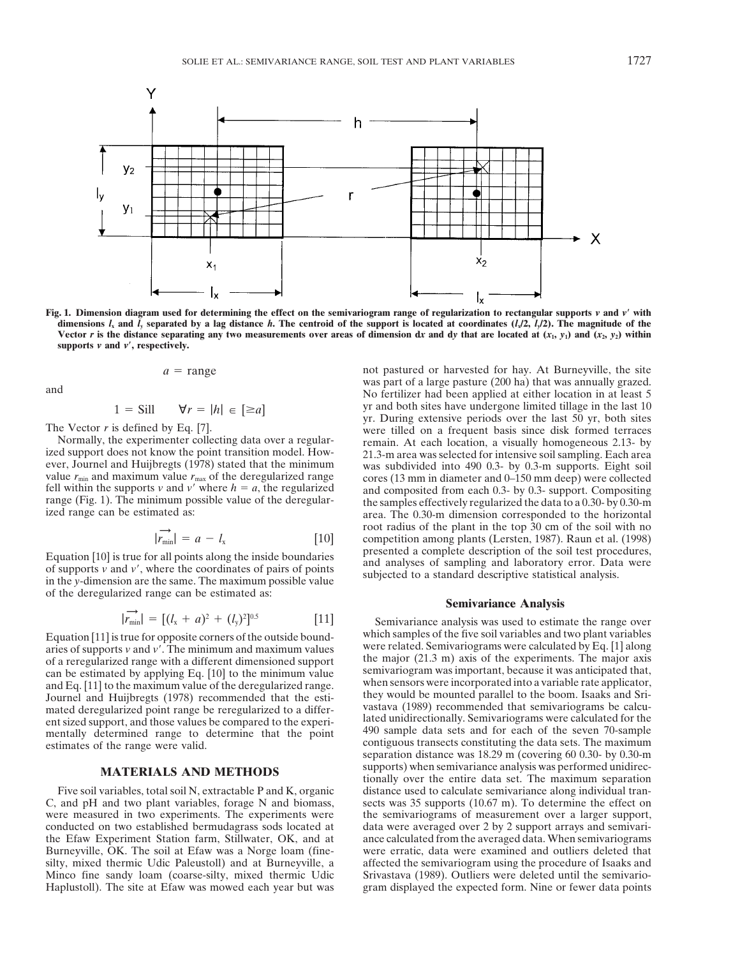

Fig. 1. Dimension diagram used for determining the effect on the semivariogram range of regularization to rectangular supports  $v$  and  $v'$  with dimensions  $I_x$  and  $\overline{I_y}$  separated by a lag distance h. The centroid of the support is located at coordinates ( $I_z/2$ ,  $\overline{I_z}/2$ ). The magnitude of the Vector r is the distance separating any two measurements over areas of dimension dx and dy that are located at  $(x_1, y_1)$  and  $(x_2, y_2)$  within supports  $v$  and  $v'$ , respectively.

$$
a = \text{range}
$$

$$
S = \text{Sill} \qquad \forall r = |h| \in [\geq a]
$$

$$
|\vec{r}_{\min}| = a - l_{\rm x} \tag{10}
$$

Equation [10] is true for all points along the inside boundaries<br>of supports  $\nu$  and  $\nu'$ , where the coordinates of pairs of points<br>in the  $\nu$ -dimension are the same. The maximum possible value<br>in the  $\nu$ -dimension ar of the deregularized range can be estimated as:

$$
|\overrightarrow{r_{\min}}| = [(l_x + a)^2 + (l_y)^2]^{0.5}
$$
 [11]

aries of supports *v* and *v'*. The minimum and maximum values were related. Semivariograms were calculated by Eq. [1] along of a recepularized range with a different dimensioned support the major (21.3 m) axis of the expe of a reregularized range with a different dimensioned support<br>can be estimated by applying Eq. [10] to the minimum value<br>and Eq. [11] to the maximum value of the deregularized range.<br>Journel and Huijbregts (1978) recommend mated deregularized point range be reregularized to a differ-<br>ent sized support and those values be compared to the experi-<br>lated unidirectionally. Semivariograms were calculated for the ent sized support, and those values be compared to the experi-<br>mentally determined range to determine that the point and sample data sets and for each of the seven 70-sample mentally determined range to determine that the point estimates of the range were valid. contiguous transects constituting the data sets. The maximum contiguous transects constituting the data sets. The maximum

C, and pH and two plant variables, forage N and biomass, sects was 35 supports (10.67 m). To determine the effect on were measured in two experiments. The experiments were the semivariograms of measurement over a larger support, conducted on two established bermudagrass sods located at data were averaged over 2 by 2 support arrays and se the Efaw Experiment Station farm, Stillwater, OK, and at ance calculated from the averaged data. When semivariograms Burneyville, OK. The soil at Efaw was a Norge loam (fine- were erratic, data were examined and outliers deleted that silty, mixed thermic Udic Paleustoll) and at Burneyville, a affected the semivariogram using the procedure of Isaaks and<br>Minco fine sandy loam (coarse-silty, mixed thermic Udic Srivastava (1989). Outliers were deleted unti Haplustoll). The site at Efaw was mowed each year but was gram displayed the expected form. Nine or fewer data points

not pastured or harvested for hay. At Burneyville, the site was part of a large pasture (200 ha) that was annually grazed. was part of a large pasture (200 ha) that was annually grazed.<br>No fertilizer had been applied at either location in at least 5 1 = Sill  $\forall r = |h| \in [\ge a]$ <br>
The Vector *r* is defined by Eq. [7].<br>
Normally, the experimenter collecting data over a regular-<br>
ized support does not know the point transition model. How-<br>
ever, Journal and Huijbregts (1978) root radius of the plant in the top 30 cm of the soil with no  $r_{\text{c}}$  competition among plants (Lersten, 1987). Raun et al. (1998) presented a complete description of the soil test procedures,

## **Semivariance Analysis**

Semivariance analysis was used to estimate the range over Equation [11] is true for opposite corners of the outside bound-<br>aries of supports v and y' The minimum and maximum values were related. Semivariograms were calculated by Eq. [1] along separation distance was 18.29 m (covering 60 0.30- by 0.30-m **MATERIALS AND METHODS** supports) when semivariance analysis was performed unidirec-<br>tionally over the entire data set. The maximum separation Five soil variables, total soil N, extractable P and K, organic distance used to calculate semivariance along individual trandata were averaged over 2 by 2 support arrays and semivari-Srivastava (1989). Outliers were deleted until the semivario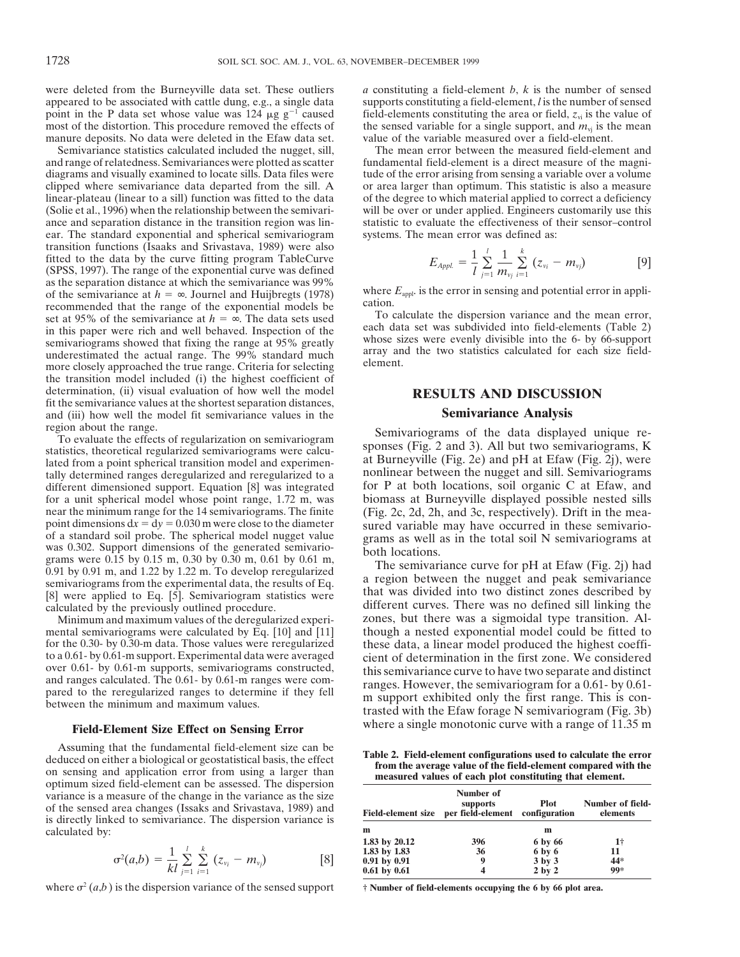were deleted from the Burneyville data set. These outliers *a* constituting a field-element *b*, *k* is the number of sensed appeared to be associated with cattle dung, e.g., a single data supports constituting a field-ele appeared to be associated with cattle dung, e.g., a single data point in the P data set whose value was 124  $\mu$ g g<sup>-1</sup> caused field-elements constituting the area or field,  $z_{\rm vi}$  is the value of most of the distortion. This procedure removed the effects of the sensed variable for manure deposits. No data were deleted in the Efaw data set.

and range of relatedness. Semivariances were plotted as scatter fundamental field-element is a direct measure of the magnidiagrams and visually examined to locate sills. Data files were tude of the error arising from sensing a variable over a volume clipped where semivariance data departed from the sill. A or area larger than optimum. This st clipped where semivariance data departed from the sill. A or area larger than optimum. This statistic is also a measure linear-plateau (linear to a sill) function was fitted to the data of the degree to which material appl (Solie et al., 1996) when the relationship between the semivari- will be over or under applied. Engineers customarily use this ance and separation distance in the transition region was lin- statistic to evaluate the effectiveness of their sensor–control ear. The standard exponential and spherical semivariogram systems. The mean error was defined as: transition functions (Isaaks and Srivastava, 1989) were also fitted to the data by the curve fitting program TableCurve (SPSS, 1997). The range of the exponential curve was defined as the separation distance at which the semivariance was 99% as the separation distance at which the semivariance was 99%<br>of the semivariance at  $h = \infty$ . Journel and Huijbregts (1978)<br>recommended that the range of the exponential models be<br>set at 95% of the semivariance at  $h = \infty$ . underestimated the actual range. The 99% standard much array and more closely approached the true range. Criteria for selecting element. the transition model included (i) the highest coefficient of determination, (ii) visual evaluation of how well the model **RESULTS AND DISCUSSION** fit the semivariance values at the shortest separation distances, and (iii) how well the model fit semivariance values in the **Semivariance Analysis**<br>region about the range.

different dimensioned support. Equation [8] was integrated for P at both locations, soil organic C at Efaw, and for a unit spherical model whose point range, 1.72 m, was biomass at Burneyville displayed possible nested sil for a unit spherical model whose point range, 1.72 m, was near the minimum range for the 14 semivariograms. The finite near the minimum range for the 14 semivariograms. The finite (Fig. 2c, 2d, 2h, and 3c, respectively). Drift in the mea-<br>point dimensions  $dx = dy = 0.030$  m were close to the diameter sured variable may have occurred in these point dimensions  $dx = dy = 0.030$  m were close to the diameter<br>of a standard soil probe. The spherical model nugget value<br>was 0.302. Support dimensions of the generated semivario-<br>grams as well as in the total soil N semivari

mental semivariograms were calculated by Eq.  $[10]$  and  $[11]$  though a nested exponential model could be fitted to for the 0.30- by 0.30-m data. Those values were reregularized these data, a linear model produced the hig for the 0.30- by 0.30-m data. Those values were reregularized these data, a linear model produced the highest coeffi-<br>to a 0.61- by 0.61-m support. Experimental data were averaged cient of determination in the first zone. to a 0.61- by 0.61-m support. Experimental data were averaged cient of determination in the first zone. We considered over 0.61- by 0.61-m supports, semivariograms constructed, this semivariance curve to have two separate

Assuming that the fundamental field-element size can be<br>deduced on either a biological or geostatistical basis, the effect<br>on sensing and application error from using a larger than<br>optimum sized field-element can be assess variance is a measure of the change in the variance as the size of the sensed area changes (Issaks and Srivastava, 1989) and<br>is directly linked to semivariance. The dispersion variance is calculated by:

$$
\sigma^{2}(a,b) = \frac{1}{kl} \sum_{j=1}^{l} \sum_{i=1}^{k} (z_{\nu_{i}} - m_{\nu_{j}})
$$
 [8]

where  $\sigma^2(a,b)$  is the dispersion variance of the sensed support  $\dot{\tau}$  **Number of field-elements occupying the 6 by 66 plot area.** 

the sensed variable for a single support, and  $m_{\text{vj}}$  is the mean value of the variable measured over a field-element.

Semivariance statistics calculated included the nugget, sill, The mean error between the measured field-element and of the degree to which material applied to correct a deficiency

$$
E_{Appl.} = \frac{1}{l} \sum_{j=1}^{l} \frac{1}{m_{v_j}} \sum_{i=1}^{k} (z_{v_i} - m_{v_j})
$$
 [9]

To evaluate the effects of regularization on semivariogram<br>statistics, theoretical regularized semivariograms were calcu-<br>lated from a point spherical transition model and experimental the sponses (Fig. 2 and 3). All but t

[8] were applied to Eq. [5]. Semivariogram statistics were calculated into two distinct zones described by calculated by the previously outlined procedure. There was no defined sill linking the Minimum and maximum values o Minimum and maximum values of the deregularized experi-<br>mental semivariograms were calculated by Eq. [10] and [11] though a nested exponential model could be fitted to over 0.61- by 0.61-m supports, semivariograms constructed,<br>and ranges calculated. The 0.61- by 0.61-m ranges were com-<br>pared to the reregularized ranges to determine if they fell<br>between the minimum and maximum values.<br>tra Field-Element Size Effect on Sensing Error where a single monotonic curve with a range of 11.35 m

|                | Number of<br>supports                                 | <b>Plot</b> | Number of field-<br>elements                                                                     |
|----------------|-------------------------------------------------------|-------------|--------------------------------------------------------------------------------------------------|
| m              |                                                       | m           |                                                                                                  |
|                | 396                                                   |             | 1†                                                                                               |
| 1.83 by $1.83$ | 36                                                    | 6 by 6      | 11                                                                                               |
|                |                                                       |             | $44*$                                                                                            |
|                |                                                       |             | 99*                                                                                              |
|                | 1.83 by 20.12<br>$0.91$ by $0.91$<br>$0.61$ by $0.61$ |             | Field-element size per field-element configuration<br>6 by 66<br>$3$ by $3$<br>2 <sub>by</sub> 2 |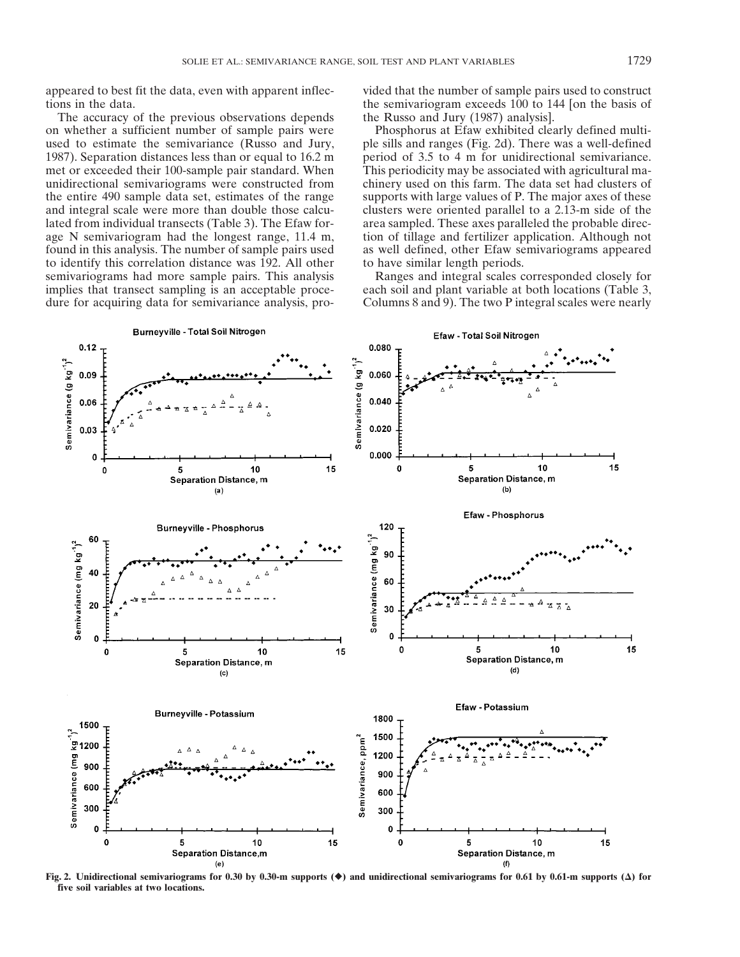tions in the data. the semivariogram exceeds 100 to 144 [on the basis of

The accuracy of the previous observations depends the Russo and Jury (1987) analysis]. to identify this correlation distance was 192. All other to have similar length periods. semivariograms had more sample pairs. This analysis Ranges and integral scales corresponded closely for implies that transect sampling is an acceptable proce- each soil and plant variable at both locations (Table 3, dure for acquiring data for semivariance analysis, pro-<br>Columns 8 and 9). The two P integral scales were nearly

appeared to best fit the data, even with apparent inflec- vided that the number of sample pairs used to construct

on whether a sufficient number of sample pairs were Phosphorus at Efaw exhibited clearly defined multiused to estimate the semivariance (Russo and Jury, ple sills and ranges (Fig. 2d). There was a well-defined 1987). Separation distances less than or equal to  $16.2 \text{ m}$  period of 3.5 to 4 m for unidirectional semivariance. met or exceeded their 100-sample pair standard. When This periodicity may be associated with agricultural maunidirectional semivariograms were constructed from chinery used on this farm. The data set had clusters of the entire 490 sample data set, estimates of the range supports with large values of P. The major axes of these and integral scale were more than double those calcu-<br>clusters were oriented parallel to a 2.13-m side of the lated from individual transects (Table 3). The Efaw for-<br>age N semivariogram had the longest range, 11.4 m, tion of tillage and fertilizer application. Although not tion of tillage and fertilizer application. Although not found in this analysis. The number of sample pairs used as well defined, other Efaw semivariograms appeared



**Fig. 2.** Unidirectional semivariograms for 0.30 by 0.30-m supports  $(\bullet)$  and unidirectional semivariograms for 0.61 by 0.61-m supports  $(\Delta)$  for **five soil variables at two locations.**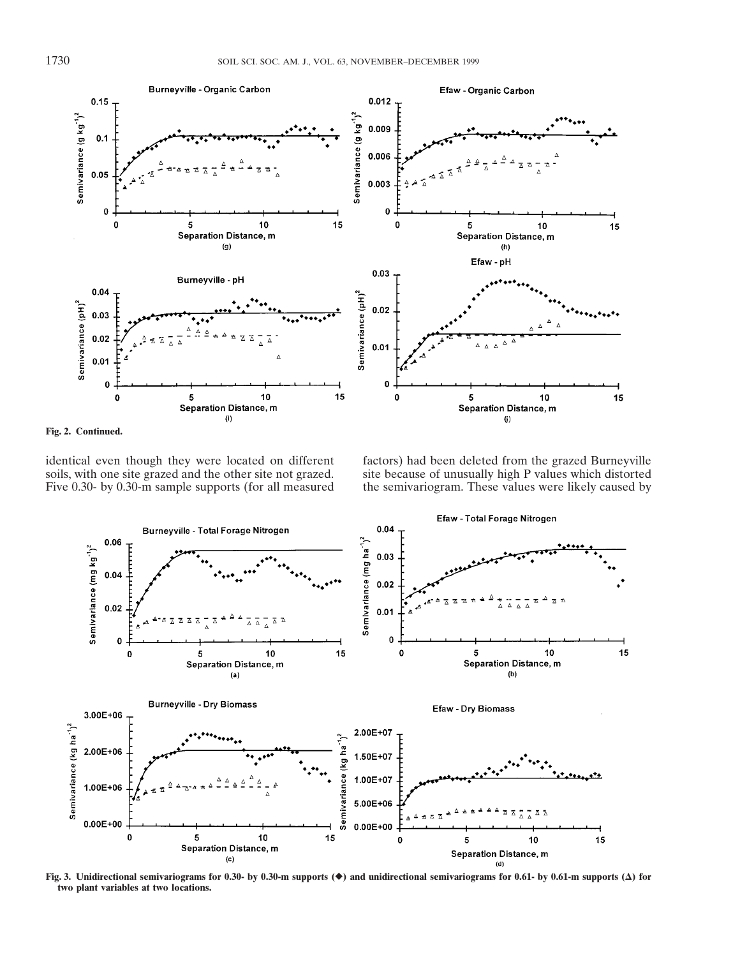

**Fig. 2. Continued.**

identical even though they were located on different factors) had been deleted from the grazed Burneyville soils, with one site grazed and the other site not grazed. Site because of unusually high P values which distorted

site because of unusually high P values which distorted. Five 0.30- by 0.30-m sample supports (for all measured the semivariogram. These values were likely caused by



**Fig. 3.** Unidirectional semivariograms for 0.30- by 0.30-m supports  $(\diamondsuit)$  and unidirectional semivariograms for 0.61- by 0.61-m supports  $(\triangle)$  for **two plant variables at two locations.**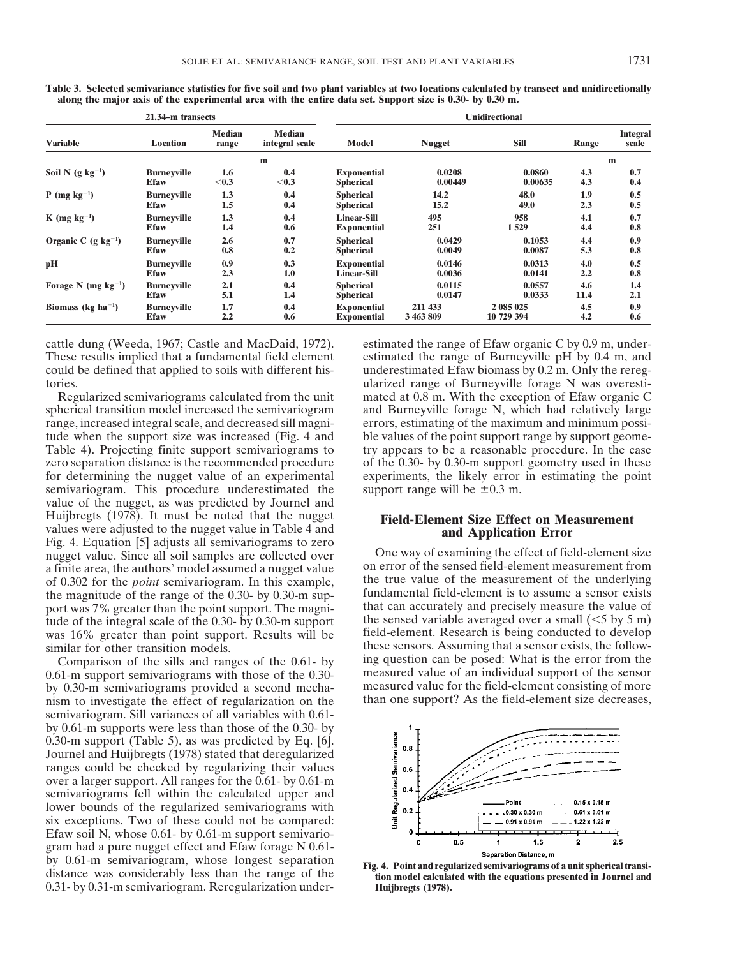|                                  | 21.34-m transects  |                        |                                 | <b>Unidirectional</b> |               |             |       |                          |  |  |
|----------------------------------|--------------------|------------------------|---------------------------------|-----------------------|---------------|-------------|-------|--------------------------|--|--|
| <b>Variable</b>                  | Location           | <b>Median</b><br>range | <b>Median</b><br>integral scale | Model                 | <b>Nugget</b> | <b>Sill</b> | Range | <b>Integral</b><br>scale |  |  |
|                                  |                    |                        | m                               |                       |               |             | m     |                          |  |  |
| Soil N $(g \ kg^{-1})$           | <b>Burneyville</b> | 1.6                    | 0.4                             | <b>Exponential</b>    | 0.0208        | 0.0860      | 4.3   | 0.7                      |  |  |
|                                  | <b>Efaw</b>        | $0.3$                  | $<$ 0.3                         | <b>Spherical</b>      | 0.00449       | 0.00635     | 4.3   | 0.4                      |  |  |
| $P$ (mg kg <sup>-1</sup> )       | <b>Burneyville</b> | 1.3                    | 0.4                             | <b>Spherical</b>      | 14.2          | 48.0        | 1.9   | 0.5                      |  |  |
|                                  | <b>Efaw</b>        | 1.5                    | 0.4                             | <b>Spherical</b>      | 15.2          | 49.0        | 2.3   | 0.5                      |  |  |
| $K$ (mg kg <sup>-1</sup> )       | <b>Burneyville</b> | 1.3                    | 0.4                             | <b>Linear-Sill</b>    | 495           | 958         | 4.1   | 0.7                      |  |  |
|                                  | <b>Efaw</b>        | 1.4                    | 0.6                             | <b>Exponential</b>    | 251           | 1529        | 4.4   | 0.8                      |  |  |
| Organic C $(g \ kg^{-1})$        | <b>Burneyville</b> | 2.6                    | 0.7                             | <b>Spherical</b>      | 0.0429        | 0.1053      | 4.4   | 0.9                      |  |  |
|                                  | <b>Efaw</b>        | 0.8                    | 0.2                             | <b>Spherical</b>      | 0.0049        | 0.0087      | 5.3   | 0.8                      |  |  |
| рH                               | <b>Burneyville</b> | 0.9                    | 0.3                             | <b>Exponential</b>    | 0.0146        | 0.0313      | 4.0   | 0.5                      |  |  |
|                                  | <b>Efaw</b>        | 2.3                    | 1.0                             | <b>Linear-Sill</b>    | 0.0036        | 0.0141      | 2.2   | 0.8                      |  |  |
| Forage N (mg $kg^{-1}$ )         | <b>Burneyville</b> | 2.1                    | 0.4                             | <b>Spherical</b>      | 0.0115        | 0.0557      | 4.6   | 1.4                      |  |  |
|                                  | <b>Efaw</b>        | 5.1                    | 1.4                             | <b>Spherical</b>      | 0.0147        | 0.0333      | 11.4  | 2.1                      |  |  |
| Biomass ( $kg \text{ ha}^{-1}$ ) | <b>Burneyville</b> | 1.7                    | 0.4                             | <b>Exponential</b>    | 211 433       | 2 085 025   | 4.5   | 0.9                      |  |  |
|                                  | <b>Efaw</b>        | 2.2                    | 0.6                             | <b>Exponential</b>    | 3 463 809     | 10 729 394  | 4.2   | 0.6                      |  |  |

**Table 3. Selected semivariance statistics for five soil and two plant variables at two locations calculated by transect and unidirectionally along the major axis of the experimental area with the entire data set. Support size is 0.30- by 0.30 m.**

cattle dung (Weeda, 1967; Castle and MacDaid, 1972). estimated the range of Efaw organic C by 0.9 m, under-These results implied that a fundamental field element estimated the range of Burneyville pH by 0.4 m, and could be defined that applied to soils with different his- underestimated Efaw biomass by 0.2 m. Only the rereg-

spherical transition model increased the semivariogram and Burneyville forage N, which had relatively large range, increased integral scale, and decreased sill magni- errors, estimating of the maximum and minimum possitude when the support size was increased (Fig. 4 and ble values of the point support range by support geome-Table 4). Projecting finite support semivariograms to try appears to be a reasonable procedure. In the case zero separation distance is the recommended procedure of the 0.30- by 0.30-m support geometry used in these for determining the nugget value of an experimental experiments, the likely error in estimating the point semivariogram. This procedure underestimated the support range will be  $\pm 0.3$  m. value of the nugget, as was predicted by Journel and Huijbregts (1978). It must be noted that the nugget **Field-Element Size Effect on Measurement** values were adjusted to the nugget value in Table 4 and **Field-Element Size Effect on Measurement** Fig. 4. Equation [5] adjusts all semivariograms to zero<br>nugget value Since all soil samples are collected over<br>Dne way of examining the effect of field-element size nugget value. Since all soil samples are collected over<br>a finite area the authors' model assumed a nugget value on error of the sensed field-element measurement from a finite area, the authors' model assumed a nugget value on error of the sensed field-element measurement from<br>of 0.302 for the *noint* semivariogram. In this example the true value of the measurement of the underlying of 0.302 for the *point* semivariogram. In this example, the true value of the measurement of the underlying the magnitude of the range of the 0.30- by 0.30- m sup-<br>fundamental field-element is to assume a sensor exists the magnitude of the range of the 0.30- by 0.30-m sup-<br>that can accurately and precisely measure the value of<br>the magnitude of the range of the can accurately and precisely measure the value of port was 7% greater than the point support. The magnitude of the integral scale of the 0.30- by 0.30-m support the sensed variable averaged over a small ( $\leq$ 5 by 5 m) was 16% greater than point support. Results will be field-element. Research is being conducted to develop was 16% greater than point support. Results will be similar for other transition models.

 $0.61$ -m support semivariograms with those of the  $0.30$ by 0.30-m semivariograms provided a second mecha-<br>nism to investigate the effect of regularization on the than one support? As the field-element size decreases, nism to investigate the effect of regularization on the semivariogram. Sill variances of all variables with 0.61 by 0.61-m supports were less than those of the 0.30- by 0.30-m support (Table 5), as was predicted by Eq. [6]. Journel and Huijbregts (1978) stated that deregularized ranges could be checked by regularizing their values over a larger support. All ranges for the 0.61- by 0.61-m semivariograms fell within the calculated upper and lower bounds of the regularized semivariograms with six exceptions. Two of these could not be compared: Efaw soil N, whose 0.61- by 0.61-m support semivariogram had a pure nugget effect and Efaw forage N 0.61- Separation Distance, m<br>by 0.61-m semivariogram, whose longest separation<br>distance was considerably less than the range of the the model calculated with the equations presented in Journel and 0.31- by 0.31-m semivariogram. Reregularization under- **Huijbregts (1978).**

tories. ularized range of Burneyville forage N was overesti-Regularized semivariograms calculated from the unit mated at 0.8 m. With the exception of Efaw organic C

these sensors. Assuming that a sensor exists, the follow-<br>ing question can be posed: What is the error from the Comparison of the sills and ranges of the  $0.61$ - by ing question can be posed: What is the error from the  $61$ -m support semivariograms with those of the  $0.30$ - measured value of an individual support of the sensor

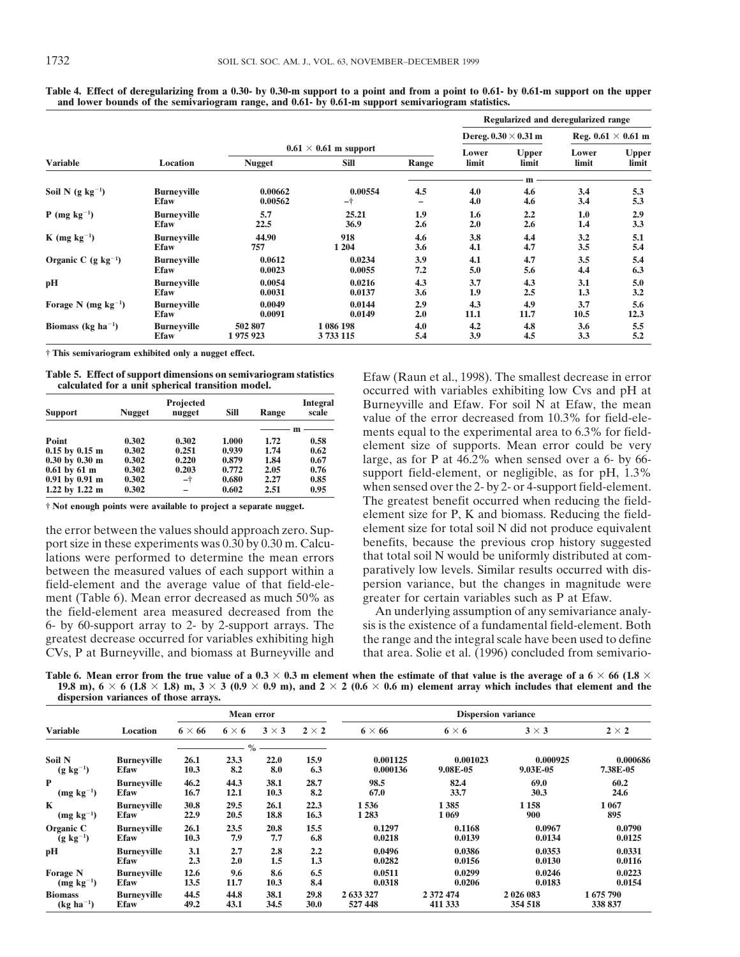|                                             |                    |               |                              |       |                |                             | Regularized and deregularized range<br>Reg. $0.61 \times 0.61$ m |              |
|---------------------------------------------|--------------------|---------------|------------------------------|-------|----------------|-----------------------------|------------------------------------------------------------------|--------------|
|                                             |                    |               |                              |       |                | Dereg. $0.30 \times 0.31$ m |                                                                  |              |
|                                             |                    |               | $0.61 \times 0.61$ m support |       |                |                             | Lower                                                            | <b>Upper</b> |
| <b>Variable</b>                             | Location           | <b>Nugget</b> | Sill                         | Range | Lower<br>limit | <b>Upper</b><br>limit       | limit                                                            | limit        |
|                                             |                    |               |                              |       | m              |                             |                                                                  |              |
| Soil N $(g \ kg^{-1})$                      | <b>Burneyville</b> | 0.00662       | 0.00554                      | 4.5   | 4.0            | 4.6                         | 3.4                                                              | 5.3          |
|                                             | <b>Efaw</b>        | 0.00562       | -†                           | -     | 4.0            | 4.6                         | 3.4                                                              | 5.3          |
| $P$ (mg kg <sup>-1</sup> )                  | <b>Burneyville</b> | 5.7           | 25.21                        | 1.9   | 1.6            | 2.2                         | 1.0                                                              | 2.9          |
|                                             | <b>Efaw</b>        | 22.5          | 36.9                         | 2.6   | 2.0            | 2.6                         | 1.4                                                              | 3.3          |
| $K$ (mg kg <sup>-1</sup> )                  | <b>Burneyville</b> | 44.90         | 918                          | 4.6   | 3.8            | 4.4                         | 3.2                                                              | 5.1          |
|                                             | <b>Efaw</b>        | 757           | 1 2 0 4                      | 3.6   | 4.1            | 4.7                         | 3.5                                                              | 5.4          |
| Organic C $(g \ kg^{-1})$                   | <b>Burneyville</b> | 0.0612        | 0.0234                       | 3.9   | 4.1            | 4.7                         | 3.5                                                              | 5.4          |
|                                             | <b>Efaw</b>        | 0.0023        | 0.0055                       | 7.2   | 5.0            | 5.6                         | 4.4                                                              | 6.3          |
| pН                                          | <b>Burneyville</b> | 0.0054        | 0.0216                       | 4.3   | 3.7            | 4.3                         | 3.1                                                              | 5.0          |
|                                             | <b>Efaw</b>        | 0.0031        | 0.0137                       | 3.6   | 1.9            | 2.5                         | 1.3                                                              | 3.2          |
| Forage N (mg $kg^{-1}$ )                    | <b>Burneyville</b> | 0.0049        | 0.0144                       | 2.9   | 4.3            | 4.9                         | 3.7                                                              | 5.6          |
|                                             | <b>Efaw</b>        | 0.0091        | 0.0149                       | 2.0   | 11.1           | 11.7                        | 10.5                                                             | 12.3         |
| Biomass (kg ha <sup><math>-1</math></sup> ) | <b>Burneyville</b> | 502 807       | 1 086 198                    | 4.0   | 4.2            | 4.8                         | 3.6                                                              | 5.5          |
|                                             | <b>Efaw</b>        | 1975923       | 3733115                      | 5.4   | 3.9            | 4.5                         | 3.3                                                              | 5.2          |

**Table 4. Effect of deregularizing from a 0.30- by 0.30-m support to a point and from a point to 0.61- by 0.61-m support on the upper and lower bounds of the semivariogram range, and 0.61- by 0.61-m support semivariogram statistics.**

**† This semivariogram exhibited only a nugget effect.**

| <b>Support</b>                    | <b>Nugget</b> | <b>Projected</b><br>nugget | <b>Sill</b> | Range | <b>Integral</b><br>scale |
|-----------------------------------|---------------|----------------------------|-------------|-------|--------------------------|
|                                   |               |                            |             |       | m                        |
| Point                             | 0.302         | 0.302                      | 1.000       | 1.72  | 0.58                     |
| $0.15$ by $0.15$ m                | 0.302         | 0.251                      | 0.939       | 1.74  | 0.62                     |
| $0.30 \text{ by } 0.30 \text{ m}$ | 0.302         | 0.220                      | 0.879       | 1.84  | 0.67                     |
| $0.61$ by $61$ m                  | 0.302         | 0.203                      | 0.772       | 2.05  | 0.76                     |
| $0.91$ by $0.91$ m                | 0.302         | -†                         | 0.680       | 2.27  | 0.85                     |
| 1.22 by $1.22 \text{ m}$          | 0.302         |                            | 0.602       | 2.51  | 0.95                     |

port size in these experiments was 0.30 by 0.30 m. Calcufield-element and the average value of that field-ele-<br>ment (Table 6). Mean error decreased as much 50% as greater for certain variables such as P at Efaw. ment (Table 6). Mean error decreased as much 50% as greater for certain variables such as P at Efaw.<br>the field-element area measured decreased from the An underlying assumption of any semivariance analythe field-element area measured decreased from the

Table 5. Effect of support dimensions on semivariogram statistics Efaw (Raun et al., 1998). The smallest decrease in error calculated for a unit spherical transition model.<br>
Cocurred with variables exhibiting low Cvs and p Burneyville and Efaw. For soil N at Efaw, the mean value of the error decreased from 10.3% for field-ele-<br>ments equal to the experimental area to 6.3% for fieldelement size of supports. Mean error could be very large, as for P at  $46.2\%$  when sensed over a 6- by 66support field-element, or negligible, as for pH, 1.3% when sensed over the 2- by 2- or 4-support field-element. The greatest benefit occurred when reducing the field-<br> **The greatest benefit occurred when reducing the field**element size for P, K and biomass. Reducing the fieldthe error between the values should approach zero. Sup-<br>port size for total soil N did not produce equivalent<br>port size in these experiments was  $0.30 \text{ by } 0.30 \text{ m}$ . Calcu-<br>benefits, because the previous crop history su lations were performed to determine the mean errors that total soil N would be uniformly distributed at com-<br>between the measured values of each support within a paratively low levels. Similar results occurred with disbetween the measured values of each support within a paratively low levels. Similar results occurred with dis-<br>field-element and the average value of that field-ele-<br>persion variance, but the changes in magnitude were

6- by 60-support array to 2- by 2-support arrays. The sis is the existence of a fundamental field-element. Both greatest decrease occurred for variables exhibiting high the range and the integral scale have been used to define<br>CVs, P at Burneyville, and biomass at Burneyville and that area. Solie et al. (1996) concluded from semivar that area. Solie et al. (1996) concluded from semivario-

Table 6. Mean error from the true value of a  $0.3 \times 0.3$  m element when the estimate of that value is the average of a  $6 \times 66$  (1.8  $\times$ **19.8 m),**  $6 \times 6$  **(1.8**  $\times$  1.8) m,  $3 \times 3$  (0.9  $\times$  0.9 m), and  $2 \times 2$  (0.6  $\times$  0.6 m) element array which includes that element and the **dispersion variances of those arrays.**

|                  |                    | $\tilde{\phantom{a}}$ |              |              |              |                            |              |              |             |  |  |
|------------------|--------------------|-----------------------|--------------|--------------|--------------|----------------------------|--------------|--------------|-------------|--|--|
|                  | Location           | <b>Mean error</b>     |              |              |              | <b>Dispersion variance</b> |              |              |             |  |  |
| <b>Variable</b>  |                    | $6 \times 66$         | $6 \times 6$ | $3 \times 3$ | $2 \times 2$ | $6 \times 66$              | $6 \times 6$ | $3 \times 3$ | $2\times 2$ |  |  |
|                  |                    |                       | $\%$         |              |              |                            |              |              |             |  |  |
| Soil N           | <b>Burneyville</b> | 26.1                  | 23.3         | 22.0         | 15.9         | 0.001125                   | 0.001023     | 0.000925     | 0.000686    |  |  |
| $(g \ kg^{-1})$  | <b>Efaw</b>        | 10.3                  | 8.2          | 8.0          | 6.3          | 0.000136                   | 9.08E-05     | 9.03E-05     | 7.38E-05    |  |  |
| P                | <b>Burneyville</b> | 46.2                  | 44.3         | 38.1         | 28.7         | 98.5                       | 82.4         | 69.0         | 60.2        |  |  |
| $(mg kg^{-1})$   | <b>Efaw</b>        | 16.7                  | 12.1         | 10.3         | 8.2          | 67.0                       | 33.7         | 30.3         | 24.6        |  |  |
| K                | <b>Burneyville</b> | 30.8                  | 29.5         | 26.1         | 22.3         | 1536                       | 1385         | 1 1 5 8      | 1 0 6 7     |  |  |
| $(mg kg^{-1})$   | <b>Efaw</b>        | 22.9                  | 20.5         | 18.8         | 16.3         | 1 2 8 3                    | 1 0 6 9      | 900          | 895         |  |  |
| Organic C        | <b>Burneyville</b> | 26.1                  | 23.5         | 20.8         | 15.5         | 0.1297                     | 0.1168       | 0.0967       | 0.0790      |  |  |
| $(g \; kg^{-1})$ | <b>Efaw</b>        | 10.3                  | 7.9          | 7.7          | 6.8          | 0.0218                     | 0.0139       | 0.0134       | 0.0125      |  |  |
| pН               | <b>Burneyville</b> | 3.1                   | 2.7          | 2.8          | 2,2          | 0.0496                     | 0.0386       | 0.0353       | 0.0331      |  |  |
|                  | <b>Efaw</b>        | 2.3                   | 2.0          | 1.5          | 1.3          | 0.0282                     | 0.0156       | 0.0130       | 0.0116      |  |  |
| <b>Forage N</b>  | <b>Burneyville</b> | 12.6                  | 9.6          | 8.6          | 6.5          | 0.0511                     | 0.0299       | 0.0246       | 0.0223      |  |  |
| $(mg kg^{-1})$   | <b>Efaw</b>        | 13.5                  | 11.7         | 10.3         | 8.4          | 0.0318                     | 0.0206       | 0.0183       | 0.0154      |  |  |
| <b>Biomass</b>   | <b>Burneyville</b> | 44.5                  | 44.8         | 38.1         | 29.8         | 2 633 327                  | 2 372 474    | 2 026 083    | 1675790     |  |  |
| $(kg ha^{-1})$   | <b>Efaw</b>        | 49.2                  | 43.1         | 34.5         | 30.0         | 527 448                    | 411 333      | 354 518      | 338 837     |  |  |